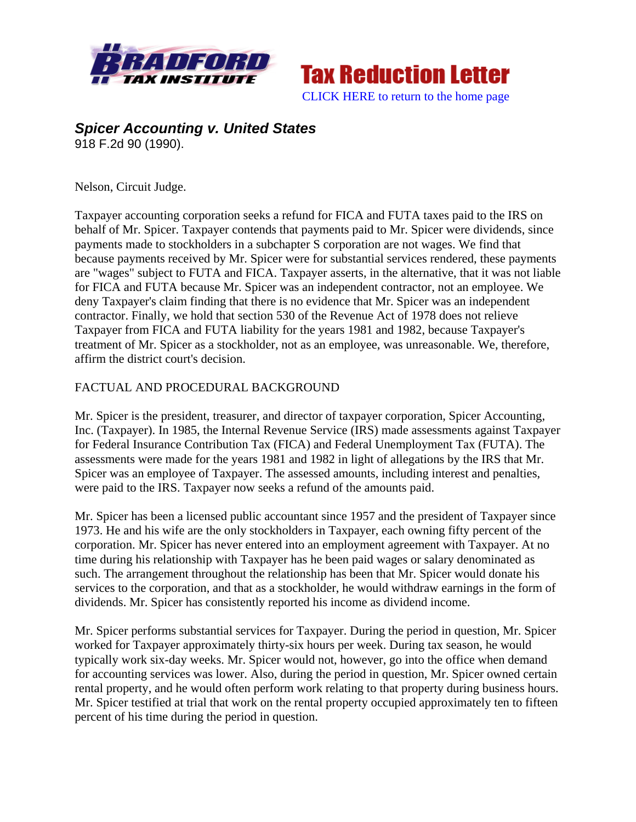



## *Spicer Accounting v. United States* 918 F.2d 90 (1990).

Nelson, Circuit Judge.

Taxpayer accounting corporation seeks a refund for FICA and FUTA taxes paid to the IRS on behalf of Mr. Spicer. Taxpayer contends that payments paid to Mr. Spicer were dividends, since payments made to stockholders in a subchapter S corporation are not wages. We find that because payments received by Mr. Spicer were for substantial services rendered, these payments are "wages" subject to FUTA and FICA. Taxpayer asserts, in the alternative, that it was not liable for FICA and FUTA because Mr. Spicer was an independent contractor, not an employee. We deny Taxpayer's claim finding that there is no evidence that Mr. Spicer was an independent contractor. Finally, we hold that section 530 of the Revenue Act of 1978 does not relieve Taxpayer from FICA and FUTA liability for the years 1981 and 1982, because Taxpayer's treatment of Mr. Spicer as a stockholder, not as an employee, was unreasonable. We, therefore, affirm the district court's decision.

## FACTUAL AND PROCEDURAL BACKGROUND

Mr. Spicer is the president, treasurer, and director of taxpayer corporation, Spicer Accounting, Inc. (Taxpayer). In 1985, the Internal Revenue Service (IRS) made assessments against Taxpayer for Federal Insurance Contribution Tax (FICA) and Federal Unemployment Tax (FUTA). The assessments were made for the years 1981 and 1982 in light of allegations by the IRS that Mr. Spicer was an employee of Taxpayer. The assessed amounts, including interest and penalties, were paid to the IRS. Taxpayer now seeks a refund of the amounts paid.

Mr. Spicer has been a licensed public accountant since 1957 and the president of Taxpayer since 1973. He and his wife are the only stockholders in Taxpayer, each owning fifty percent of the corporation. Mr. Spicer has never entered into an employment agreement with Taxpayer. At no time during his relationship with Taxpayer has he been paid wages or salary denominated as such. The arrangement throughout the relationship has been that Mr. Spicer would donate his services to the corporation, and that as a stockholder, he would withdraw earnings in the form of dividends. Mr. Spicer has consistently reported his income as dividend income.

Mr. Spicer performs substantial services for Taxpayer. During the period in question, Mr. Spicer worked for Taxpayer approximately thirty-six hours per week. During tax season, he would typically work six-day weeks. Mr. Spicer would not, however, go into the office when demand for accounting services was lower. Also, during the period in question, Mr. Spicer owned certain rental property, and he would often perform work relating to that property during business hours. Mr. Spicer testified at trial that work on the rental property occupied approximately ten to fifteen percent of his time during the period in question.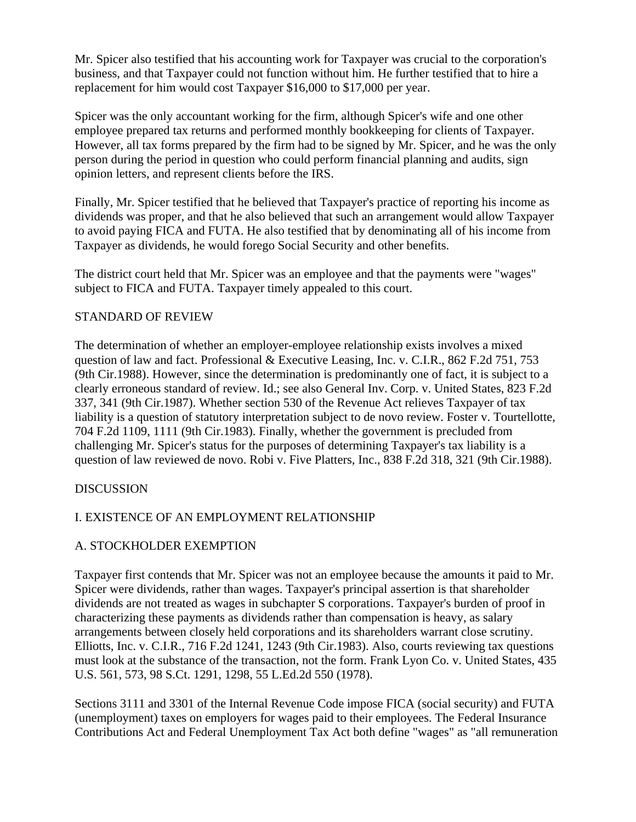Mr. Spicer also testified that his accounting work for Taxpayer was crucial to the corporation's business, and that Taxpayer could not function without him. He further testified that to hire a replacement for him would cost Taxpayer \$16,000 to \$17,000 per year.

Spicer was the only accountant working for the firm, although Spicer's wife and one other employee prepared tax returns and performed monthly bookkeeping for clients of Taxpayer. However, all tax forms prepared by the firm had to be signed by Mr. Spicer, and he was the only person during the period in question who could perform financial planning and audits, sign opinion letters, and represent clients before the IRS.

Finally, Mr. Spicer testified that he believed that Taxpayer's practice of reporting his income as dividends was proper, and that he also believed that such an arrangement would allow Taxpayer to avoid paying FICA and FUTA. He also testified that by denominating all of his income from Taxpayer as dividends, he would forego Social Security and other benefits.

The district court held that Mr. Spicer was an employee and that the payments were "wages" subject to FICA and FUTA. Taxpayer timely appealed to this court.

# STANDARD OF REVIEW

The determination of whether an employer-employee relationship exists involves a mixed question of law and fact. Professional & Executive Leasing, Inc. v. C.I.R., 862 F.2d 751, 753 (9th Cir.1988). However, since the determination is predominantly one of fact, it is subject to a clearly erroneous standard of review. Id.; see also General Inv. Corp. v. United States, 823 F.2d 337, 341 (9th Cir.1987). Whether section 530 of the Revenue Act relieves Taxpayer of tax liability is a question of statutory interpretation subject to de novo review. Foster v. Tourtellotte, 704 F.2d 1109, 1111 (9th Cir.1983). Finally, whether the government is precluded from challenging Mr. Spicer's status for the purposes of determining Taxpayer's tax liability is a question of law reviewed de novo. Robi v. Five Platters, Inc., 838 F.2d 318, 321 (9th Cir.1988).

## DISCUSSION

# I. EXISTENCE OF AN EMPLOYMENT RELATIONSHIP

# A. STOCKHOLDER EXEMPTION

Taxpayer first contends that Mr. Spicer was not an employee because the amounts it paid to Mr. Spicer were dividends, rather than wages. Taxpayer's principal assertion is that shareholder dividends are not treated as wages in subchapter S corporations. Taxpayer's burden of proof in characterizing these payments as dividends rather than compensation is heavy, as salary arrangements between closely held corporations and its shareholders warrant close scrutiny. Elliotts, Inc. v. C.I.R., 716 F.2d 1241, 1243 (9th Cir.1983). Also, courts reviewing tax questions must look at the substance of the transaction, not the form. Frank Lyon Co. v. United States, 435 U.S. 561, 573, 98 S.Ct. 1291, 1298, 55 L.Ed.2d 550 (1978).

Sections 3111 and 3301 of the Internal Revenue Code impose FICA (social security) and FUTA (unemployment) taxes on employers for wages paid to their employees. The Federal Insurance Contributions Act and Federal Unemployment Tax Act both define "wages" as "all remuneration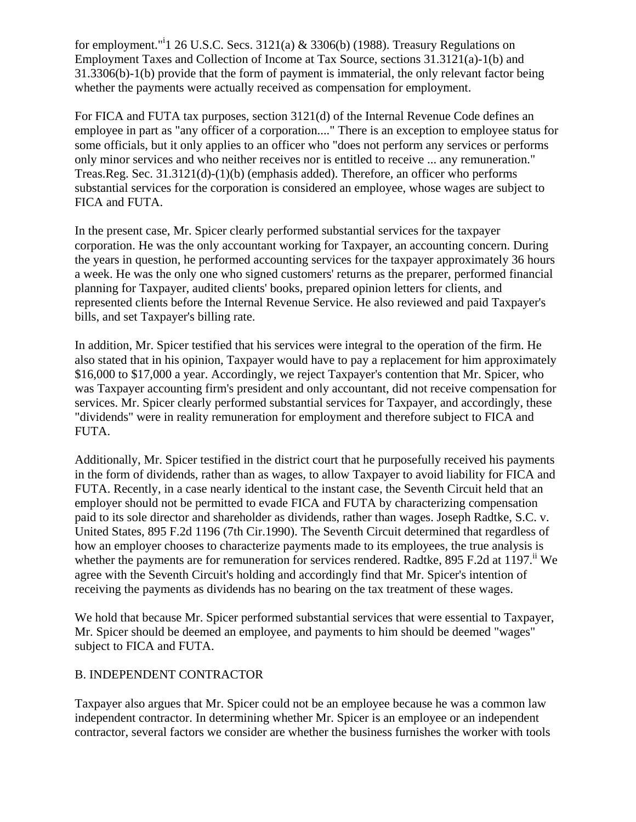for employment."<sup>i</sup>1 26 U.S.C. Secs. 3121(a) & 3306(b) (1988). Treasury Regulations on Employment Taxes and Collection of Income at Tax Source, sections 31.3121(a)-1(b) and 31.3306(b)-1(b) provide that the form of payment is immaterial, the only relevant factor being whether the payments were actually received as compensation for employment.

For FICA and FUTA tax purposes, section 3121(d) of the Internal Revenue Code defines an employee in part as "any officer of a corporation...." There is an exception to employee status for some officials, but it only applies to an officer who "does not perform any services or performs only minor services and who neither receives nor is entitled to receive ... any remuneration." Treas.Reg. Sec. 31.3121(d)-(1)(b) (emphasis added). Therefore, an officer who performs substantial services for the corporation is considered an employee, whose wages are subject to FICA and FUTA.

In the present case, Mr. Spicer clearly performed substantial services for the taxpayer corporation. He was the only accountant working for Taxpayer, an accounting concern. During the years in question, he performed accounting services for the taxpayer approximately 36 hours a week. He was the only one who signed customers' returns as the preparer, performed financial planning for Taxpayer, audited clients' books, prepared opinion letters for clients, and represented clients before the Internal Revenue Service. He also reviewed and paid Taxpayer's bills, and set Taxpayer's billing rate.

In addition, Mr. Spicer testified that his services were integral to the operation of the firm. He also stated that in his opinion, Taxpayer would have to pay a replacement for him approximately \$16,000 to \$17,000 a year. Accordingly, we reject Taxpayer's contention that Mr. Spicer, who was Taxpayer accounting firm's president and only accountant, did not receive compensation for services. Mr. Spicer clearly performed substantial services for Taxpayer, and accordingly, these "dividends" were in reality remuneration for employment and therefore subject to FICA and FUTA.

Additionally, Mr. Spicer testified in the district court that he purposefully received his payments in the form of dividends, rather than as wages, to allow Taxpayer to avoid liability for FICA and FUTA. Recently, in a case nearly identical to the instant case, the Seventh Circuit held that an employer should not be permitted to evade FICA and FUTA by characterizing compensation paid to its sole director and shareholder as dividends, rather than wages. Joseph Radtke, S.C. v. United States, 895 F.2d 1196 (7th Cir.1990). The Seventh Circuit determined that regardless of how an employer chooses to characterize payments made to its employees, the true analysis is whether the payments are for remuneration for services rendered. Radtke, 895 F.2d at 1197.<sup>ii</sup> We agree with the Seventh Circuit's holding and accordingly find that Mr. Spicer's intention of receiving the payments as dividends has no bearing on the tax treatment of these wages.

We hold that because Mr. Spicer performed substantial services that were essential to Taxpayer, Mr. Spicer should be deemed an employee, and payments to him should be deemed "wages" subject to FICA and FUTA.

## B. INDEPENDENT CONTRACTOR

Taxpayer also argues that Mr. Spicer could not be an employee because he was a common law independent contractor. In determining whether Mr. Spicer is an employee or an independent contractor, several factors we consider are whether the business furnishes the worker with tools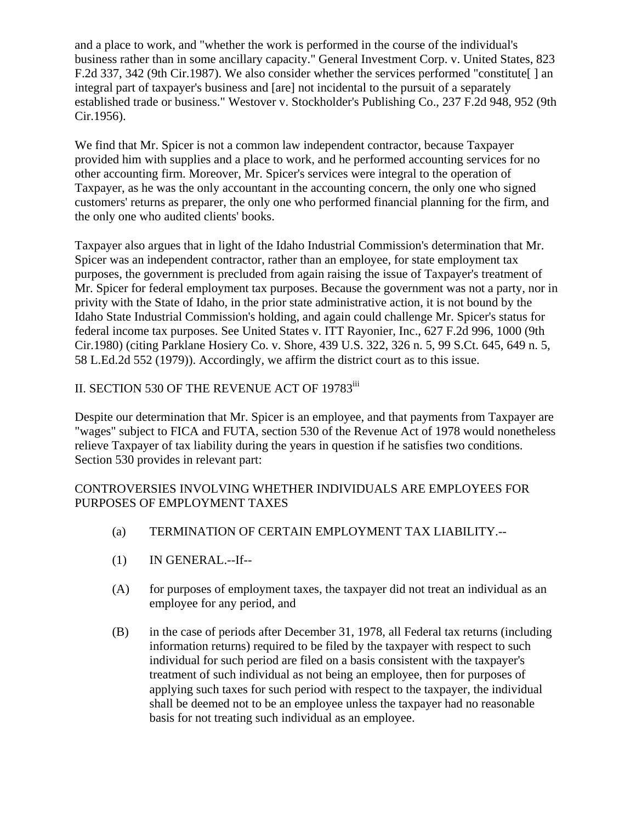and a place to work, and "whether the work is performed in the course of the individual's business rather than in some ancillary capacity." General Investment Corp. v. United States, 823 F.2d 337, 342 (9th Cir.1987). We also consider whether the services performed "constitute. integral part of taxpayer's business and [are] not incidental to the pursuit of a separately established trade or business." Westover v. Stockholder's Publishing Co., 237 F.2d 948, 952 (9th Cir.1956).

We find that Mr. Spicer is not a common law independent contractor, because Taxpayer provided him with supplies and a place to work, and he performed accounting services for no other accounting firm. Moreover, Mr. Spicer's services were integral to the operation of Taxpayer, as he was the only accountant in the accounting concern, the only one who signed customers' returns as preparer, the only one who performed financial planning for the firm, and the only one who audited clients' books.

Taxpayer also argues that in light of the Idaho Industrial Commission's determination that Mr. Spicer was an independent contractor, rather than an employee, for state employment tax purposes, the government is precluded from again raising the issue of Taxpayer's treatment of Mr. Spicer for federal employment tax purposes. Because the government was not a party, nor in privity with the State of Idaho, in the prior state administrative action, it is not bound by the Idaho State Industrial Commission's holding, and again could challenge Mr. Spicer's status for federal income tax purposes. See United States v. ITT Rayonier, Inc., 627 F.2d 996, 1000 (9th Cir.1980) (citing Parklane Hosiery Co. v. Shore, 439 U.S. 322, 326 n. 5, 99 S.Ct. 645, 649 n. 5, 58 L.Ed.2d 552 (1979)). Accordingly, we affirm the district court as to this issue.

# II. SECTION 530 OF THE REVENUE ACT OF 19783<sup>iii</sup>

Despite our determination that Mr. Spicer is an employee, and that payments from Taxpayer are "wages" subject to FICA and FUTA, section 530 of the Revenue Act of 1978 would nonetheless relieve Taxpayer of tax liability during the years in question if he satisfies two conditions. Section 530 provides in relevant part:

## CONTROVERSIES INVOLVING WHETHER INDIVIDUALS ARE EMPLOYEES FOR PURPOSES OF EMPLOYMENT TAXES

- (a) TERMINATION OF CERTAIN EMPLOYMENT TAX LIABILITY.--
- (1) IN GENERAL.--If--
- (A) for purposes of employment taxes, the taxpayer did not treat an individual as an employee for any period, and
- (B) in the case of periods after December 31, 1978, all Federal tax returns (including information returns) required to be filed by the taxpayer with respect to such individual for such period are filed on a basis consistent with the taxpayer's treatment of such individual as not being an employee, then for purposes of applying such taxes for such period with respect to the taxpayer, the individual shall be deemed not to be an employee unless the taxpayer had no reasonable basis for not treating such individual as an employee.